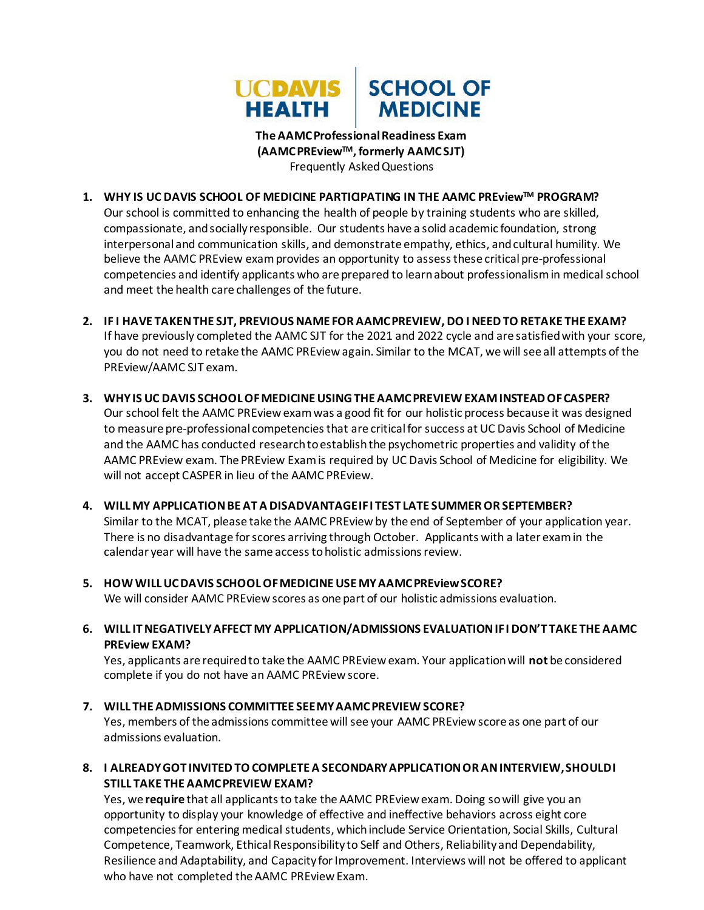

**TheAAMCProfessionalReadiness Exam (AAMCPREviewTM, formerly AAMC SJT)** Frequently Asked Questions

- **1. WHY IS UC DAVIS SCHOOL OF MEDICINE PARTICIPATING IN THE AAMC PREviewTM PROGRAM?**  Our school is committed to enhancing the health of people by training students who are skilled, compassionate, andsocially responsible. Our students have a solid academic foundation, strong interpersonal and communication skills, and demonstrate empathy, ethics, and cultural humility. We believe the AAMC PREview exam provides an opportunity to assess these critical pre-professional competencies and identify applicants who are prepared to learnabout professionalismin medical school and meet the health care challenges of the future.
- **2. IF I HAVE TAKEN THE SJT, PREVIOUS NAME FOR AAMC PREVIEW, DO I NEED TO RETAKE THE EXAM?**  If have previously completed the AAMC SJT for the 2021 and 2022 cycle and are satisfied with your score, you do not need to retake the AAMC PREview again. Similar to the MCAT, we will see all attempts of the PREview/AAMC SJT exam.
- **3. WHYIS UC DAVIS SCHOOLOFMEDICINEUSINGTHE AAMCPREVIEW EXAMINSTEADOFCASPER?** Our school felt the AAMC PREviewexamwas a good fit for our holistic process because it was designed to measure pre-professional competencies that are critical for success at UC Davis School of Medicine and the AAMC has conducted research to establish the psychometric properties and validity of the AAMC PREview exam. The PREview Examis required by UC Davis School of Medicine for eligibility. We will not accept CASPER in lieu of the AAMC PREview.
- **4. WILL MY APPLICATION BE AT A DISADVANTAGE IF I TEST LATE SUMMER OR SEPTEMBER?**  Similar to the MCAT, please take the AAMC PREview by the end of September of your application year. There is no disadvantage for scores arriving through October. Applicants with a later exam in the calendar year will have the same access to holistic admissions review.
- **5. HOW WILLUCDAVIS SCHOOLOFMEDICINEUSE MYAAMCPREviewSCORE?** We will consider AAMC PREview scores as one part of our holistic admissions evaluation.
- **6. WILL ITNEGATIVELYAFFECT MY APPLICATION/ADMISSIONS EVALUATIONIFI DON'T TAKE THE AAMC PREview EXAM?**

Yes, applicants are requiredto take the AAMC PREviewexam. Your applicationwill **not** be considered complete if you do not have an AAMC PREview score.

**7. WILL THE ADMISSIONS COMMITTEE SEEMYAAMCPREVIEW SCORE?**

Yes, members of the admissions committee will see your AAMC PREviewscore as one part of our admissions evaluation.

**8. I ALREADYGOT INVITEDTO COMPLETE A SECONDARYAPPLICATIONOR ANINTERVIEW,SHOULDI STILL TAKE THE AAMC PREVIEW EXAM?**

Yes, we **require** that all applicants to take the AAMC PREview exam. Doing so will give you an opportunity to display your knowledge of effective and ineffective behaviors across eight core competenciesfor entering medical students, whichinclude Service Orientation, Social Skills, Cultural Competence, Teamwork, Ethical Responsibility to Self and Others, Reliability and Dependability, Resilience and Adaptability, and Capacity for Improvement. Interviews will not be offered to applicant who have not completed the AAMC PREview Exam.